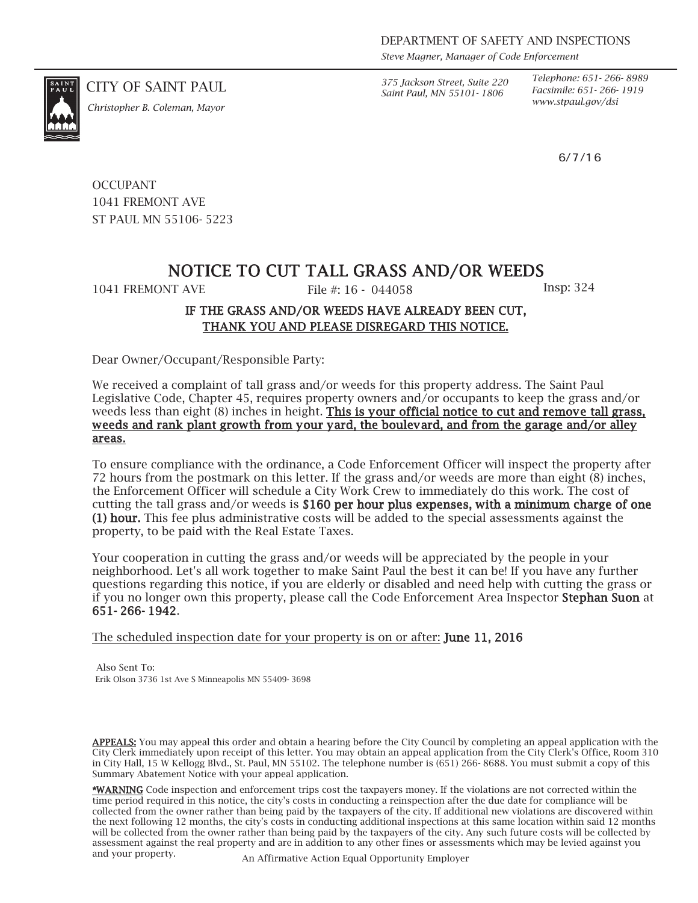*Steve Magner, Manager of Code Enforcement*

*Saint Paul, MN 55101- 1806*

*Telephone: 651- 266- 8989 Facsimile: 651- 266- 1919*

6/7/16

CITY OF SAINT PAUL *375 Jackson Street, Suite 220*



*www.stpaul.gov/dsi Christopher B. Coleman, Mayor*

**OCCUPANT** 1041 FREMONT AVE ST PAUL MN 55106- 5223

## NOTICE TO CUT TALL GRASS AND/OR WEEDS

1041 FREMONT AVE File #: 16 - 044058 Insp: 324

## IF THE GRASS AND/OR WEEDS HAVE ALREADY BEEN CUT, THANK YOU AND PLEASE DISREGARD THIS NOTICE.

Dear Owner/Occupant/Responsible Party:

We received a complaint of tall grass and/or weeds for this property address. The Saint Paul Legislative Code, Chapter 45, requires property owners and/or occupants to keep the grass and/or weeds less than eight (8) inches in height. This is your official notice to cut and remove tall grass, weeds and rank plant growth from your yard, the boulevard, and from the garage and/or alley areas.

To ensure compliance with the ordinance, a Code Enforcement Officer will inspect the property after 72 hours from the postmark on this letter. If the grass and/or weeds are more than eight (8) inches, the Enforcement Officer will schedule a City Work Crew to immediately do this work. The cost of cutting the tall grass and/or weeds is \$160 per hour plus expenses, with a minimum charge of one (1) hour. This fee plus administrative costs will be added to the special assessments against the property, to be paid with the Real Estate Taxes.

Your cooperation in cutting the grass and/or weeds will be appreciated by the people in your neighborhood. Let's all work together to make Saint Paul the best it can be! If you have any further questions regarding this notice, if you are elderly or disabled and need help with cutting the grass or if you no longer own this property, please call the Code Enforcement Area Inspector Stephan Suon at 651- 266- 1942.

The scheduled inspection date for your property is on or after: **June 11, 2016** 

Also Sent To: Erik Olson 3736 1st Ave S Minneapolis MN 55409- 3698

APPEALS: You may appeal this order and obtain a hearing before the City Council by completing an appeal application with the City Clerk immediately upon receipt of this letter. You may obtain an appeal application from the City Clerk's Office, Room 310 in City Hall, 15 W Kellogg Blvd., St. Paul, MN 55102. The telephone number is (651) 266- 8688. You must submit a copy of this Summary Abatement Notice with your appeal application.

\*WARNING Code inspection and enforcement trips cost the taxpayers money. If the violations are not corrected within the time period required in this notice, the city's costs in conducting a reinspection after the due date for compliance will be collected from the owner rather than being paid by the taxpayers of the city. If additional new violations are discovered within the next following 12 months, the city's costs in conducting additional inspections at this same location within said 12 months will be collected from the owner rather than being paid by the taxpayers of the city. Any such future costs will be collected by assessment against the real property and are in addition to any other fines or assessments which may be levied against you and your property. An Affirmative Action Equal Opportunity Employer